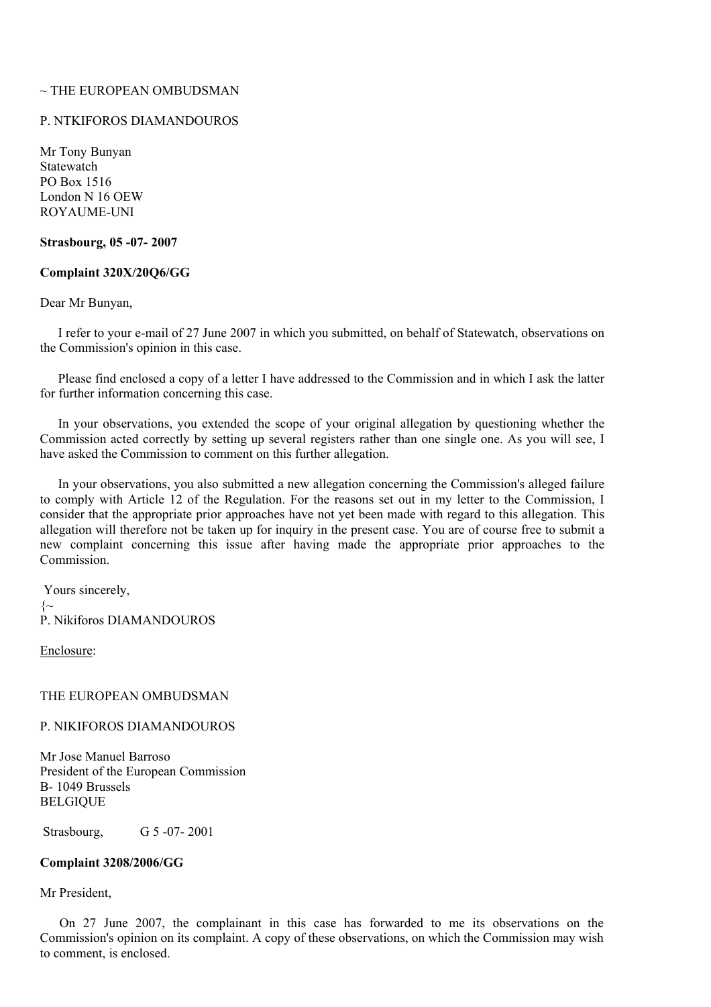# $\sim$  THE EUROPEAN OMBUDSMAN

# P. NTKIFOROS DIAMANDOUROS

Mr Tony Bunyan **Statewatch** PO Box 1516 London N 16 OEW ROYAUME-UNI

# **Strasbourg, 05 -07- 2007**

# **Complaint 320X/20Q6/GG**

Dear Mr Bunyan,

I refer to your e-mail of 27 June 2007 in which you submitted, on behalf of Statewatch, observations on the Commission's opinion in this case.

Please find enclosed a copy of a letter I have addressed to the Commission and in which I ask the latter for further information concerning this case.

In your observations, you extended the scope of your original allegation by questioning whether the Commission acted correctly by setting up several registers rather than one single one. As you will see, I have asked the Commission to comment on this further allegation.

In your observations, you also submitted a new allegation concerning the Commission's alleged failure to comply with Article 12 of the Regulation. For the reasons set out in my letter to the Commission, I consider that the appropriate prior approaches have not yet been made with regard to this allegation. This allegation will therefore not be taken up for inquiry in the present case. You are of course free to submit a new complaint concerning this issue after having made the appropriate prior approaches to the Commission.

Yours sincerely,  $\left\{\sim\right.$ P. Nikiforos DIAMANDOUROS

Enclosure:

#### THE EUROPEAN OMBUDSMAN

P. NIKIFOROS DIAMANDOUROS

Mr Jose Manuel Barroso President of the European Commission B- 1049 Brussels BELGIQUE

Strasbourg, G 5 -07- 2001

### **Complaint 3208/2006/GG**

### Mr President,

On 27 June 2007, the complainant in this case has forwarded to me its observations on the Commission's opinion on its complaint. A copy of these observations, on which the Commission may wish to comment, is enclosed.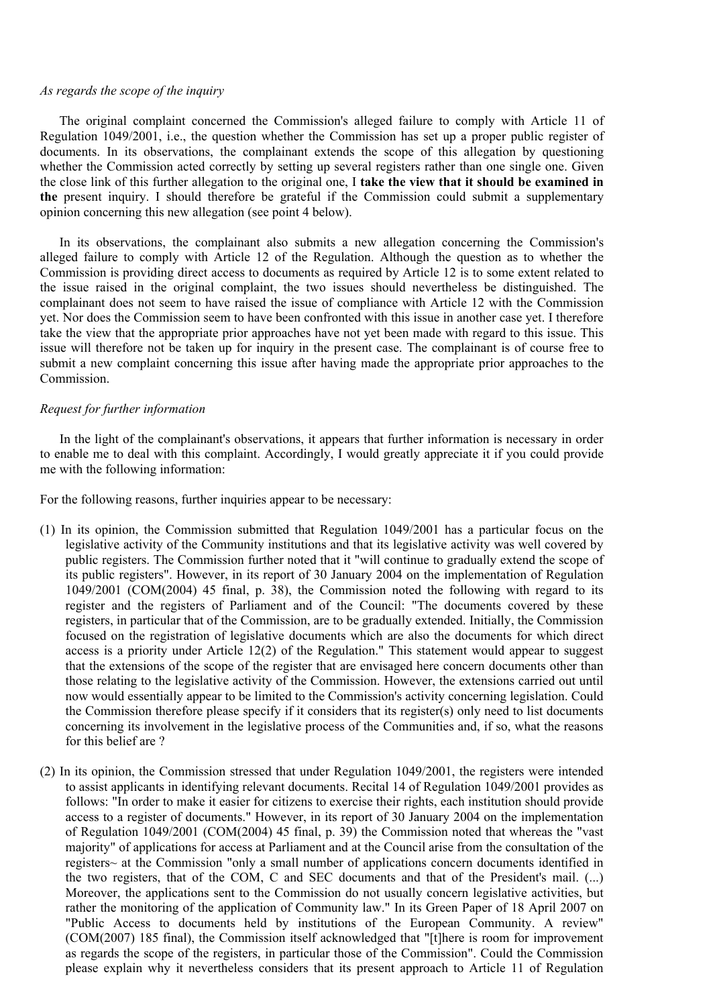# *As regards the scope of the inquiry*

The original complaint concerned the Commission's alleged failure to comply with Article 11 of Regulation 1049/2001, i.e., the question whether the Commission has set up a proper public register of documents. In its observations, the complainant extends the scope of this allegation by questioning whether the Commission acted correctly by setting up several registers rather than one single one. Given the close link of this further allegation to the original one, I **take the view that it should be examined in the** present inquiry. I should therefore be grateful if the Commission could submit a supplementary opinion concerning this new allegation (see point 4 below).

In its observations, the complainant also submits a new allegation concerning the Commission's alleged failure to comply with Article 12 of the Regulation. Although the question as to whether the Commission is providing direct access to documents as required by Article 12 is to some extent related to the issue raised in the original complaint, the two issues should nevertheless be distinguished. The complainant does not seem to have raised the issue of compliance with Article 12 with the Commission yet. Nor does the Commission seem to have been confronted with this issue in another case yet. I therefore take the view that the appropriate prior approaches have not yet been made with regard to this issue. This issue will therefore not be taken up for inquiry in the present case. The complainant is of course free to submit a new complaint concerning this issue after having made the appropriate prior approaches to the Commission.

### *Request for further information*

In the light of the complainant's observations, it appears that further information is necessary in order to enable me to deal with this complaint. Accordingly, I would greatly appreciate it if you could provide me with the following information:

For the following reasons, further inquiries appear to be necessary:

- (1) In its opinion, the Commission submitted that Regulation 1049/2001 has a particular focus on the legislative activity of the Community institutions and that its legislative activity was well covered by public registers. The Commission further noted that it "will continue to gradually extend the scope of its public registers". However, in its report of 30 January 2004 on the implementation of Regulation 1049/2001 (COM(2004) 45 final, p. 38), the Commission noted the following with regard to its register and the registers of Parliament and of the Council: "The documents covered by these registers, in particular that of the Commission, are to be gradually extended. Initially, the Commission focused on the registration of legislative documents which are also the documents for which direct access is a priority under Article 12(2) of the Regulation." This statement would appear to suggest that the extensions of the scope of the register that are envisaged here concern documents other than those relating to the legislative activity of the Commission. However, the extensions carried out until now would essentially appear to be limited to the Commission's activity concerning legislation. Could the Commission therefore please specify if it considers that its register(s) only need to list documents concerning its involvement in the legislative process of the Communities and, if so, what the reasons for this belief are ?
- (2) In its opinion, the Commission stressed that under Regulation 1049/2001, the registers were intended to assist applicants in identifying relevant documents. Recital 14 of Regulation 1049/2001 provides as follows: "In order to make it easier for citizens to exercise their rights, each institution should provide access to a register of documents." However, in its report of 30 January 2004 on the implementation of Regulation 1049/2001 (COM(2004) 45 final, p. 39) the Commission noted that whereas the "vast majority" of applications for access at Parliament and at the Council arise from the consultation of the registers~ at the Commission "only a small number of applications concern documents identified in the two registers, that of the COM, C and SEC documents and that of the President's mail. (...) Moreover, the applications sent to the Commission do not usually concern legislative activities, but rather the monitoring of the application of Community law." In its Green Paper of 18 April 2007 on "Public Access to documents held by institutions of the European Community. A review" (COM(2007) 185 final), the Commission itself acknowledged that "[t]here is room for improvement as regards the scope of the registers, in particular those of the Commission". Could the Commission please explain why it nevertheless considers that its present approach to Article 11 of Regulation